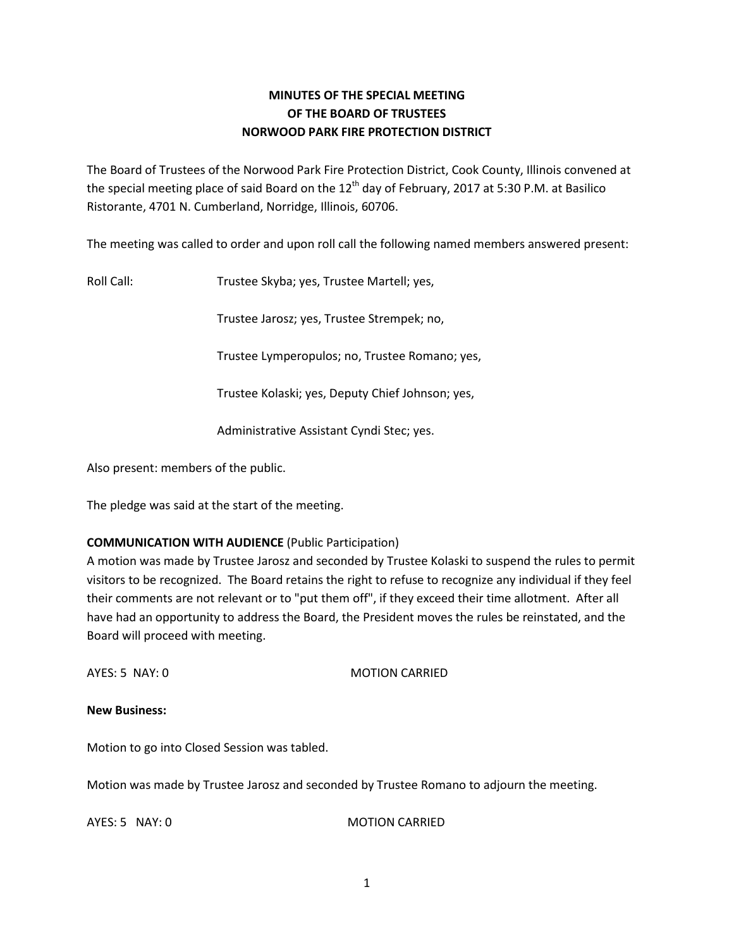## **MINUTES OF THE SPECIAL MEETING OF THE BOARD OF TRUSTEES NORWOOD PARK FIRE PROTECTION DISTRICT**

The Board of Trustees of the Norwood Park Fire Protection District, Cook County, Illinois convened at the special meeting place of said Board on the  $12<sup>th</sup>$  day of February, 2017 at 5:30 P.M. at Basilico Ristorante, 4701 N. Cumberland, Norridge, Illinois, 60706.

The meeting was called to order and upon roll call the following named members answered present:

Roll Call: Trustee Skyba; yes, Trustee Martell; yes,

Trustee Jarosz; yes, Trustee Strempek; no,

Trustee Lymperopulos; no, Trustee Romano; yes,

Trustee Kolaski; yes, Deputy Chief Johnson; yes,

Administrative Assistant Cyndi Stec; yes.

Also present: members of the public.

The pledge was said at the start of the meeting.

## **COMMUNICATION WITH AUDIENCE** (Public Participation)

A motion was made by Trustee Jarosz and seconded by Trustee Kolaski to suspend the rules to permit visitors to be recognized. The Board retains the right to refuse to recognize any individual if they feel their comments are not relevant or to "put them off", if they exceed their time allotment. After all have had an opportunity to address the Board, the President moves the rules be reinstated, and the Board will proceed with meeting.

AYES: 5 NAY: 0 MOTION CARRIED

**New Business:**

Motion to go into Closed Session was tabled.

Motion was made by Trustee Jarosz and seconded by Trustee Romano to adjourn the meeting.

AYES: 5 NAY: 0 MOTION CARRIED